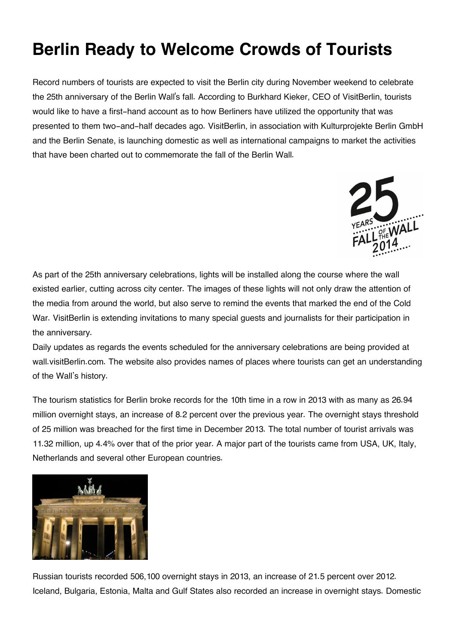## **Berlin Ready to Welcome Crowds of Tourists**

Record numbers of tourists are expected to visit the Berlin city during November weekend to celebrate the 25th anniversary of the Berlin Wall's fall. According to Burkhard Kieker, CEO of VisitBerlin, tourists would like to have a first-hand account as to how Berliners have utilized the opportunity that was presented to them two-and-half decades ago. VisitBerlin, in association with Kulturprojekte Berlin GmbH and the Berlin Senate, is launching domestic as well as international campaigns to market the activities that have been charted out to commemorate the fall of the Berlin Wall.



As part of the 25th anniversary celebrations, lights will be installed along the course where the wall existed earlier, cutting across city center. The images of these lights will not only draw the attention of the media from around the world, but also serve to remind the events that marked the end of the Cold War. VisitBerlin is extending invitations to many special guests and journalists for their participation in the anniversary.

Daily updates as regards the events scheduled for the anniversary celebrations are being provided at wall.visitBerlin.com. The website also provides names of places where tourists can get an understanding of the Wall's history.

The tourism statistics for Berlin broke records for the 10th time in a row in 2013 with as many as 26.94 million overnight stays, an increase of 8.2 percent over the previous year. The overnight stays threshold of 25 million was breached for the first time in December 2013. The total number of tourist arrivals was 11.32 million, up 4.4% over that of the prior year. A major part of the tourists came from USA, UK, Italy, Netherlands and several other European countries.



Russian tourists recorded 506,100 overnight stays in 2013, an increase of 21.5 percent over 2012. Iceland, Bulgaria, Estonia, Malta and Gulf States also recorded an increase in overnight stays. Domestic